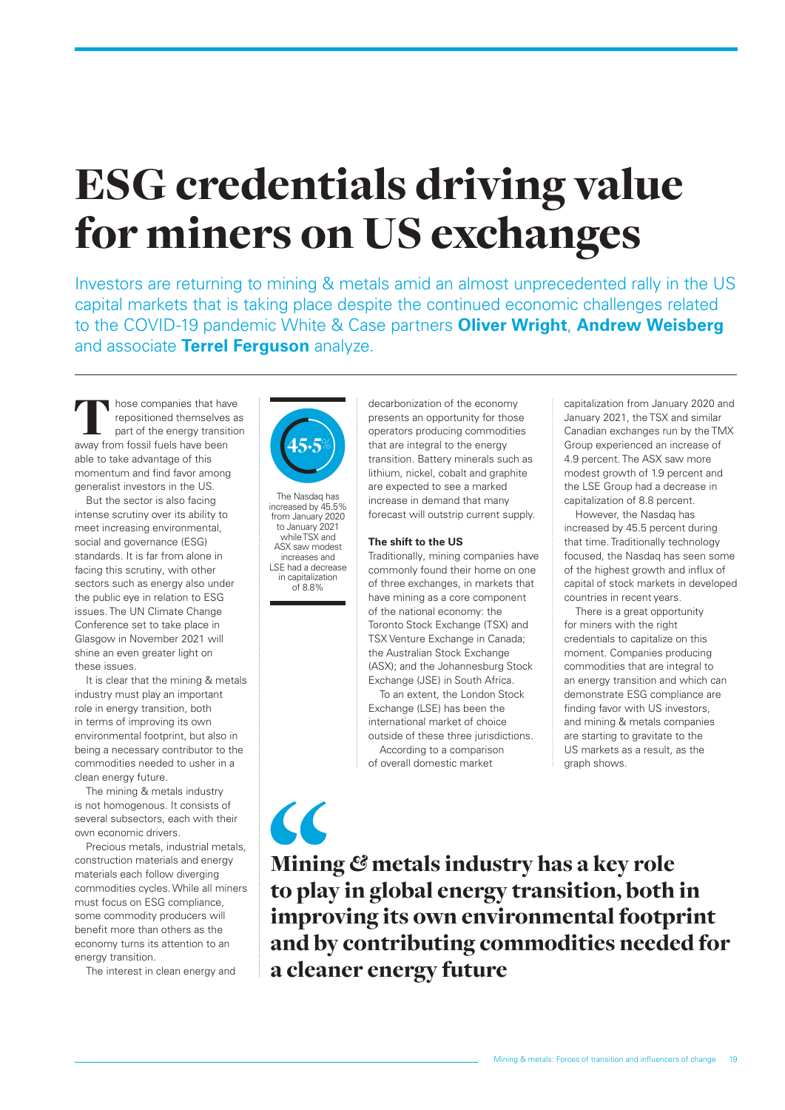# ESG credentials driving value for miners on US exchanges

Investors are returning to mining & metals amid an almost unprecedented rally in the US capital markets that is taking place despite the continued economic challenges related to the COVID-19 pandemic White & Case partners **Oliver Wright**, **Andrew Weisberg** and associate **Terrel Ferguson** analyze.

 $\blacksquare$  hose companies that have repositioned themselves as part of the energy transition away from fossil fuels have been able to take advantage of this momentum and find favor among generalist investors in the US.

But the sector is also facing intense scrutiny over its ability to meet increasing environmental, social and governance (ESG) standards. It is far from alone in facing this scrutiny, with other sectors such as energy also under the public eye in relation to ESG issues. The UN Climate Change Conference set to take place in Glasgow in November 2021 will shine an even greater light on these issues.

It is clear that the mining & metals industry must play an important role in energy transition, both in terms of improving its own environmental footprint, but also in being a necessary contributor to the commodities needed to usher in a clean energy future.

The mining & metals industry is not homogenous. It consists of several subsectors, each with their own economic drivers.

Precious metals, industrial metals, construction materials and energy materials each follow diverging commodities cycles. While all miners must focus on ESG compliance, some commodity producers will benefit more than others as the economy turns its attention to an energy transition.

The interest in clean energy and



The Nasdaq has increased by 45.5% from January 2020 to January 2021 while TSX and ASX saw modest increases and LSE had a decrease in capitalization of 8.8%

 $\alpha$ 

decarbonization of the economy presents an opportunity for those operators producing commodities that are integral to the energy transition. Battery minerals such as lithium, nickel, cobalt and graphite are expected to see a marked increase in demand that many forecast will outstrip current supply.

#### **The shift to the US**

Traditionally, mining companies have commonly found their home on one of three exchanges, in markets that have mining as a core component of the national economy: the Toronto Stock Exchange (TSX) and TSX Venture Exchange in Canada; the Australian Stock Exchange (ASX); and the Johannesburg Stock Exchange (JSE) in South Africa.

To an extent, the London Stock Exchange (LSE) has been the international market of choice outside of these three jurisdictions. According to a comparison of overall domestic market

capitalization from January 2020 and January 2021, the TSX and similar Canadian exchanges run by the TMX Group experienced an increase of 4.9 percent. The ASX saw more modest growth of 1.9 percent and the LSE Group had a decrease in capitalization of 8.8 percent.

However, the Nasdaq has increased by 45.5 percent during that time. Traditionally technology focused, the Nasdaq has seen some of the highest growth and influx of capital of stock markets in developed countries in recent years.

There is a great opportunity for miners with the right credentials to capitalize on this moment. Companies producing commodities that are integral to an energy transition and which can demonstrate ESG compliance are finding favor with US investors, and mining & metals companies are starting to gravitate to the US markets as a result, as the graph shows.

Mining *&* metals industry has a key role to play in global energy transition, both in improving its own environmental footprint and by contributing commodities needed for a cleaner energy future